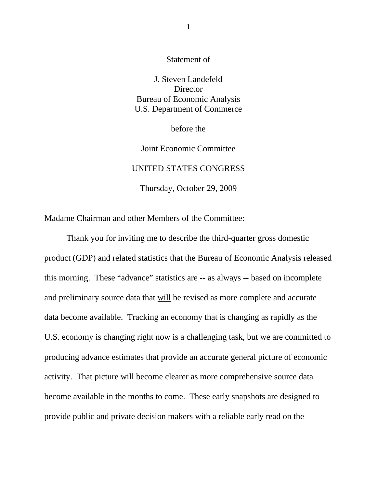Statement of

J. Steven Landefeld **Director** Bureau of Economic Analysis U.S. Department of Commerce

before the

Joint Economic Committee UNITED STATES CONGRESS Thursday, October 29, 2009

Madame Chairman and other Members of the Committee:

Thank you for inviting me to describe the third-quarter gross domestic product (GDP) and related statistics that the Bureau of Economic Analysis released this morning. These "advance" statistics are -- as always -- based on incomplete and preliminary source data that will be revised as more complete and accurate data become available. Tracking an economy that is changing as rapidly as the U.S. economy is changing right now is a challenging task, but we are committed to producing advance estimates that provide an accurate general picture of economic activity. That picture will become clearer as more comprehensive source data become available in the months to come. These early snapshots are designed to provide public and private decision makers with a reliable early read on the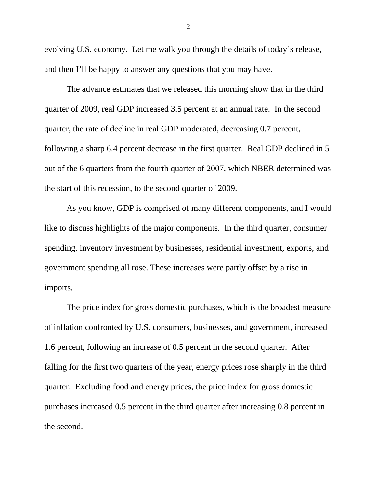evolving U.S. economy. Let me walk you through the details of today's release, and then I'll be happy to answer any questions that you may have.

The advance estimates that we released this morning show that in the third quarter of 2009, real GDP increased 3.5 percent at an annual rate. In the second quarter, the rate of decline in real GDP moderated, decreasing 0.7 percent, following a sharp 6.4 percent decrease in the first quarter. Real GDP declined in 5 out of the 6 quarters from the fourth quarter of 2007, which NBER determined was the start of this recession, to the second quarter of 2009.

As you know, GDP is comprised of many different components, and I would like to discuss highlights of the major components. In the third quarter, consumer spending, inventory investment by businesses, residential investment, exports, and government spending all rose. These increases were partly offset by a rise in imports.

The price index for gross domestic purchases, which is the broadest measure of inflation confronted by U.S. consumers, businesses, and government, increased 1.6 percent, following an increase of 0.5 percent in the second quarter. After falling for the first two quarters of the year, energy prices rose sharply in the third quarter. Excluding food and energy prices, the price index for gross domestic purchases increased 0.5 percent in the third quarter after increasing 0.8 percent in the second.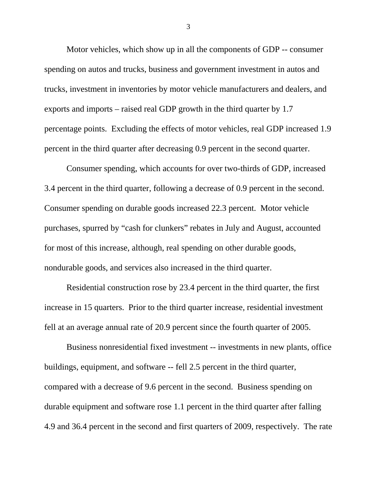Motor vehicles, which show up in all the components of GDP -- consumer spending on autos and trucks, business and government investment in autos and trucks, investment in inventories by motor vehicle manufacturers and dealers, and exports and imports – raised real GDP growth in the third quarter by 1.7 percentage points. Excluding the effects of motor vehicles, real GDP increased 1.9 percent in the third quarter after decreasing 0.9 percent in the second quarter.

Consumer spending, which accounts for over two-thirds of GDP, increased 3.4 percent in the third quarter, following a decrease of 0.9 percent in the second. Consumer spending on durable goods increased 22.3 percent. Motor vehicle purchases, spurred by "cash for clunkers" rebates in July and August, accounted for most of this increase, although, real spending on other durable goods, nondurable goods, and services also increased in the third quarter.

Residential construction rose by 23.4 percent in the third quarter, the first increase in 15 quarters. Prior to the third quarter increase, residential investment fell at an average annual rate of 20.9 percent since the fourth quarter of 2005.

Business nonresidential fixed investment -- investments in new plants, office buildings, equipment, and software -- fell 2.5 percent in the third quarter, compared with a decrease of 9.6 percent in the second. Business spending on durable equipment and software rose 1.1 percent in the third quarter after falling 4.9 and 36.4 percent in the second and first quarters of 2009, respectively. The rate

3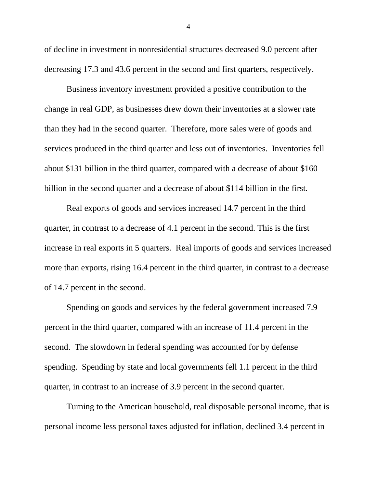of decline in investment in nonresidential structures decreased 9.0 percent after decreasing 17.3 and 43.6 percent in the second and first quarters, respectively.

Business inventory investment provided a positive contribution to the change in real GDP, as businesses drew down their inventories at a slower rate than they had in the second quarter. Therefore, more sales were of goods and services produced in the third quarter and less out of inventories. Inventories fell about \$131 billion in the third quarter, compared with a decrease of about \$160 billion in the second quarter and a decrease of about \$114 billion in the first.

Real exports of goods and services increased 14.7 percent in the third quarter, in contrast to a decrease of 4.1 percent in the second. This is the first increase in real exports in 5 quarters. Real imports of goods and services increased more than exports, rising 16.4 percent in the third quarter, in contrast to a decrease of 14.7 percent in the second.

Spending on goods and services by the federal government increased 7.9 percent in the third quarter, compared with an increase of 11.4 percent in the second. The slowdown in federal spending was accounted for by defense spending. Spending by state and local governments fell 1.1 percent in the third quarter, in contrast to an increase of 3.9 percent in the second quarter.

Turning to the American household, real disposable personal income, that is personal income less personal taxes adjusted for inflation, declined 3.4 percent in

4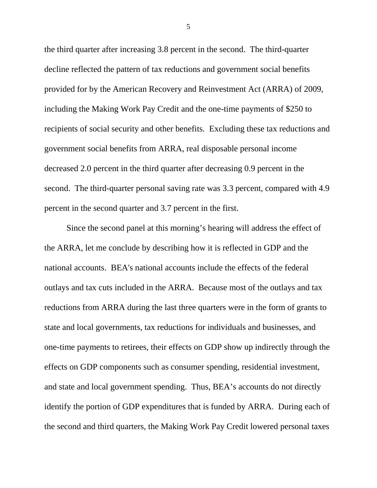the third quarter after increasing 3.8 percent in the second. The third-quarter decline reflected the pattern of tax reductions and government social benefits provided for by the American Recovery and Reinvestment Act (ARRA) of 2009, including the Making Work Pay Credit and the one-time payments of \$250 to recipients of social security and other benefits. Excluding these tax reductions and government social benefits from ARRA, real disposable personal income decreased 2.0 percent in the third quarter after decreasing 0.9 percent in the second. The third-quarter personal saving rate was 3.3 percent, compared with 4.9 percent in the second quarter and 3.7 percent in the first.

Since the second panel at this morning's hearing will address the effect of the ARRA, let me conclude by describing how it is reflected in GDP and the national accounts. BEA's national accounts include the effects of the federal outlays and tax cuts included in the ARRA. Because most of the outlays and tax reductions from ARRA during the last three quarters were in the form of grants to state and local governments, tax reductions for individuals and businesses, and one-time payments to retirees, their effects on GDP show up indirectly through the effects on GDP components such as consumer spending, residential investment, and state and local government spending. Thus, BEA's accounts do not directly identify the portion of GDP expenditures that is funded by ARRA. During each of the second and third quarters, the Making Work Pay Credit lowered personal taxes

5